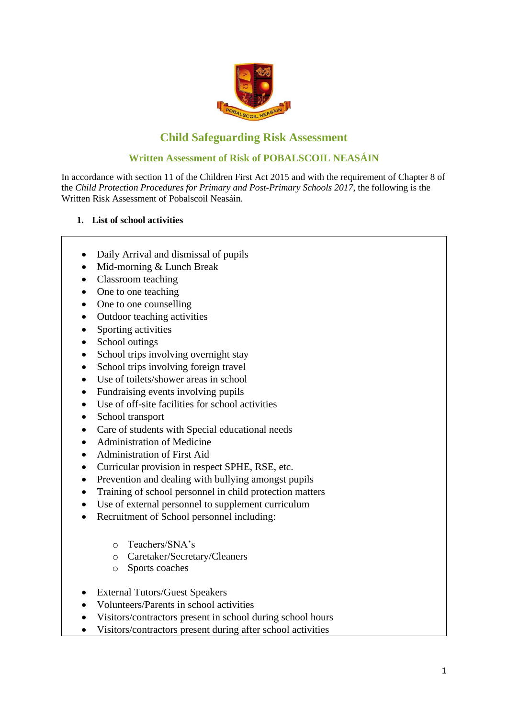

# **Child Safeguarding Risk Assessment**

### **Written Assessment of Risk of POBALSCOIL NEASÁIN**

In accordance with section 11 of the Children First Act 2015 and with the requirement of Chapter 8 of the *Child Protection Procedures for Primary and Post-Primary Schools 2017*, the following is the Written Risk Assessment of Pobalscoil Neasáin.

#### **1. List of school activities**

- Daily Arrival and dismissal of pupils
- Mid-morning & Lunch Break
- Classroom teaching
- One to one teaching
- One to one counselling
- Outdoor teaching activities
- Sporting activities
- School outings
- School trips involving overnight stay
- School trips involving foreign travel
- Use of toilets/shower areas in school
- Fundraising events involving pupils
- Use of off-site facilities for school activities
- School transport
- Care of students with Special educational needs
- Administration of Medicine
- Administration of First Aid
- Curricular provision in respect SPHE, RSE, etc.
- Prevention and dealing with bullying amongst pupils
- Training of school personnel in child protection matters
- Use of external personnel to supplement curriculum
- Recruitment of School personnel including:
	- o Teachers/SNA's
	- o Caretaker/Secretary/Cleaners
	- o Sports coaches
- External Tutors/Guest Speakers
- Volunteers/Parents in school activities
- Visitors/contractors present in school during school hours
- Visitors/contractors present during after school activities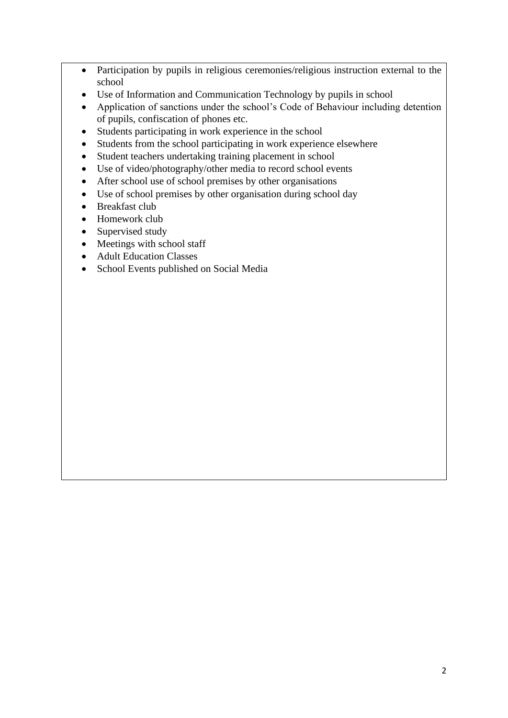- Participation by pupils in religious ceremonies/religious instruction external to the school
- Use of Information and Communication Technology by pupils in school
- Application of sanctions under the school's Code of Behaviour including detention of pupils, confiscation of phones etc.
- Students participating in work experience in the school
- Students from the school participating in work experience elsewhere
- Student teachers undertaking training placement in school
- Use of video/photography/other media to record school events
- After school use of school premises by other organisations
- Use of school premises by other organisation during school day
- Breakfast club
- Homework club
- Supervised study
- Meetings with school staff
- Adult Education Classes
- School Events published on Social Media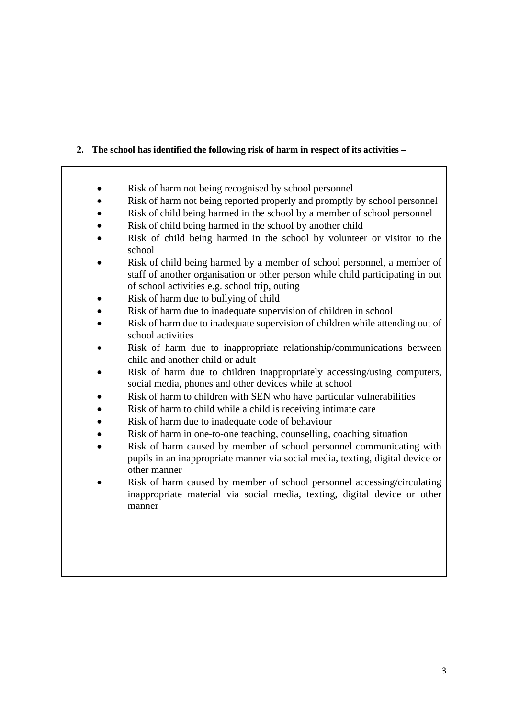## **2. The school has identified the following risk of harm in respect of its activities –**

- Risk of harm not being recognised by school personnel
- Risk of harm not being reported properly and promptly by school personnel
- Risk of child being harmed in the school by a member of school personnel
- Risk of child being harmed in the school by another child
- Risk of child being harmed in the school by volunteer or visitor to the school
- Risk of child being harmed by a member of school personnel, a member of staff of another organisation or other person while child participating in out of school activities e.g. school trip, outing
- Risk of harm due to bullying of child
- Risk of harm due to inadequate supervision of children in school
- Risk of harm due to inadequate supervision of children while attending out of school activities
- Risk of harm due to inappropriate relationship/communications between child and another child or adult
- Risk of harm due to children inappropriately accessing/using computers, social media, phones and other devices while at school
- Risk of harm to children with SEN who have particular vulnerabilities
- Risk of harm to child while a child is receiving intimate care
- Risk of harm due to inadequate code of behaviour
- Risk of harm in one-to-one teaching, counselling, coaching situation
- Risk of harm caused by member of school personnel communicating with pupils in an inappropriate manner via social media, texting, digital device or other manner
- Risk of harm caused by member of school personnel accessing/circulating inappropriate material via social media, texting, digital device or other manner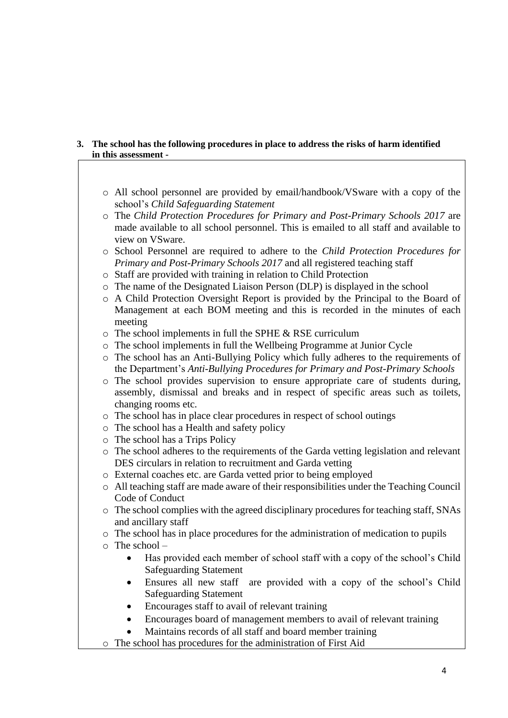#### **3. The school has the following procedures in place to address the risks of harm identified in this assessment -**

- o All school personnel are provided by email/handbook/VSware with a copy of the school's *Child Safeguarding Statement*
- o The *Child Protection Procedures for Primary and Post-Primary Schools 2017* are made available to all school personnel. This is emailed to all staff and available to view on VSware.
- o School Personnel are required to adhere to the *Child Protection Procedures for Primary and Post-Primary Schools 2017* and all registered teaching staff
- o Staff are provided with training in relation to Child Protection
- o The name of the Designated Liaison Person (DLP) is displayed in the school
- o A Child Protection Oversight Report is provided by the Principal to the Board of Management at each BOM meeting and this is recorded in the minutes of each meeting
- $\circ$  The school implements in full the SPHE & RSE curriculum
- o The school implements in full the Wellbeing Programme at Junior Cycle
- o The school has an Anti-Bullying Policy which fully adheres to the requirements of the Department's *Anti-Bullying Procedures for Primary and Post-Primary Schools*
- o The school provides supervision to ensure appropriate care of students during, assembly, dismissal and breaks and in respect of specific areas such as toilets, changing rooms etc.
- o The school has in place clear procedures in respect of school outings
- o The school has a Health and safety policy
- o The school has a Trips Policy
- o The school adheres to the requirements of the Garda vetting legislation and relevant DES circulars in relation to recruitment and Garda vetting
- o External coaches etc. are Garda vetted prior to being employed
- o All teaching staff are made aware of their responsibilities under the Teaching Council Code of Conduct
- o The school complies with the agreed disciplinary procedures for teaching staff, SNAs and ancillary staff
- o The school has in place procedures for the administration of medication to pupils
- o The school
	- Has provided each member of school staff with a copy of the school's Child Safeguarding Statement
	- Ensures all new staff are provided with a copy of the school's Child Safeguarding Statement
	- Encourages staff to avail of relevant training
	- Encourages board of management members to avail of relevant training
	- Maintains records of all staff and board member training
- o The school has procedures for the administration of First Aid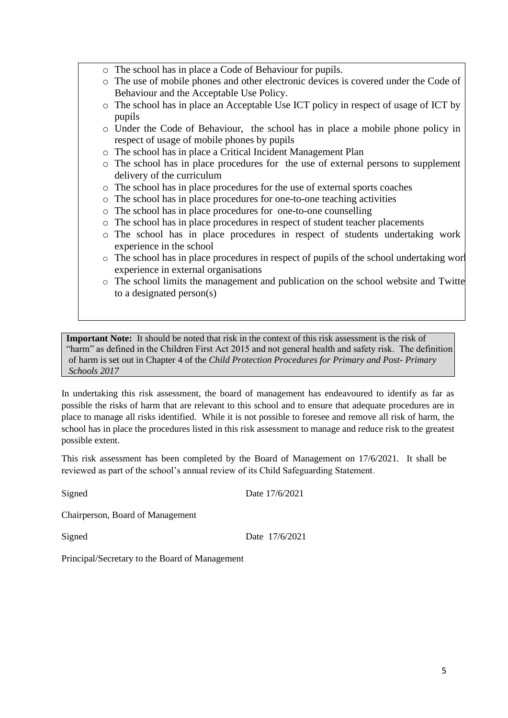- o The school has in place a Code of Behaviour for pupils.
- o The use of mobile phones and other electronic devices is covered under the Code of Behaviour and the Acceptable Use Policy.
- o The school has in place an Acceptable Use ICT policy in respect of usage of ICT by pupils
- o Under the Code of Behaviour, the school has in place a mobile phone policy in respect of usage of mobile phones by pupils
- o The school has in place a Critical Incident Management Plan
- o The school has in place procedures for the use of external persons to supplement delivery of the curriculum
- o The school has in place procedures for the use of external sports coaches
- o The school has in place procedures for one-to-one teaching activities
- o The school has in place procedures for one-to-one counselling
- o The school has in place procedures in respect of student teacher placements
- o The school has in place procedures in respect of students undertaking work experience in the school
- $\circ$  The school has in place procedures in respect of pupils of the school undertaking work experience in external organisations
- $\circ$  The school limits the management and publication on the school website and Twitter to a designated person(s)

**Important Note:** It should be noted that risk in the context of this risk assessment is the risk of "harm" as defined in the Children First Act 2015 and not general health and safety risk. The definition of harm is set out in Chapter 4 of the *Child Protection Procedures for Primary and Post- Primary Schools 2017*

In undertaking this risk assessment, the board of management has endeavoured to identify as far as possible the risks of harm that are relevant to this school and to ensure that adequate procedures are in place to manage all risks identified. While it is not possible to foresee and remove all risk of harm, the school has in place the procedures listed in this risk assessment to manage and reduce risk to the greatest possible extent.

This risk assessment has been completed by the Board of Management on 17/6/2021. It shall be reviewed as part of the school's annual review of its Child Safeguarding Statement.

Signed Date 17/6/2021

Chairperson, Board of Management

Signed Date 17/6/2021

Principal/Secretary to the Board of Management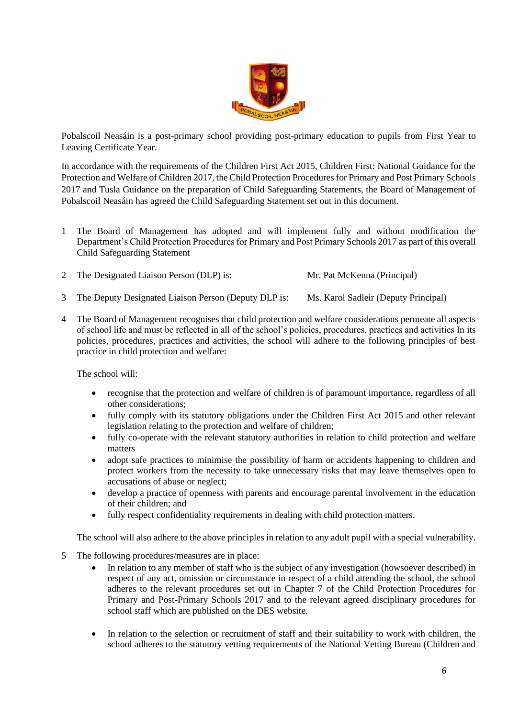

Pobalscoil Neasáin is a post-primary school providing post-primary education to pupils from First Year to Leaving Certificate Year.

In accordance with the requirements of the Children First Act 2015, Children First: National Guidance for the Protection and Welfare of Children 2017, the Child Protection Procedures for Primary and Post Primary Schools 2017 and Tusla Guidance on the preparation of Child Safeguarding Statements, the Board of Management of Pobalscoil Neasáin has agreed the Child Safeguarding Statement set out in this document.

- 1 The Board of Management has adopted and will implement fully and without modification the Department's Child Protection Procedures for Primary and Post Primary Schools 2017 as part of this overall Child Safeguarding Statement
- 2 The Designated Liaison Person (DLP) is: Mr. Pat McKenna (Principal)
- 3 The Deputy Designated Liaison Person (Deputy DLP is: Ms. Karol Sadleir (Deputy Principal)
- 4 The Board of Management recognises that child protection and welfare considerations permeate all aspects of school life and must be reflected in all of the school's policies, procedures, practices and activities In its policies, procedures, practices and activities, the school will adhere to the following principles of best practice in child protection and welfare:

The school will:

- recognise that the protection and welfare of children is of paramount importance, regardless of all other considerations;
- fully comply with its statutory obligations under the Children First Act 2015 and other relevant legislation relating to the protection and welfare of children;
- fully co-operate with the relevant statutory authorities in relation to child protection and welfare matters
- adopt safe practices to minimise the possibility of harm or accidents happening to children and protect workers from the necessity to take unnecessary risks that may leave themselves open to accusations of abuse or neglect;
- develop a practice of openness with parents and encourage parental involvement in the education of their children; and
- fully respect confidentiality requirements in dealing with child protection matters.

The school will also adhere to the above principles in relation to any adult pupil with a special vulnerability.

- 5 The following procedures/measures are in place:
	- In relation to any member of staff who is the subject of any investigation (howsoever described) in respect of any act, omission or circumstance in respect of a child attending the school, the school adheres to the relevant procedures set out in Chapter 7 of the Child Protection Procedures for Primary and Post-Primary Schools 2017 and to the relevant agreed disciplinary procedures for school staff which are published on the DES website.
	- In relation to the selection or recruitment of staff and their suitability to work with children, the school adheres to the statutory vetting requirements of the National Vetting Bureau (Children and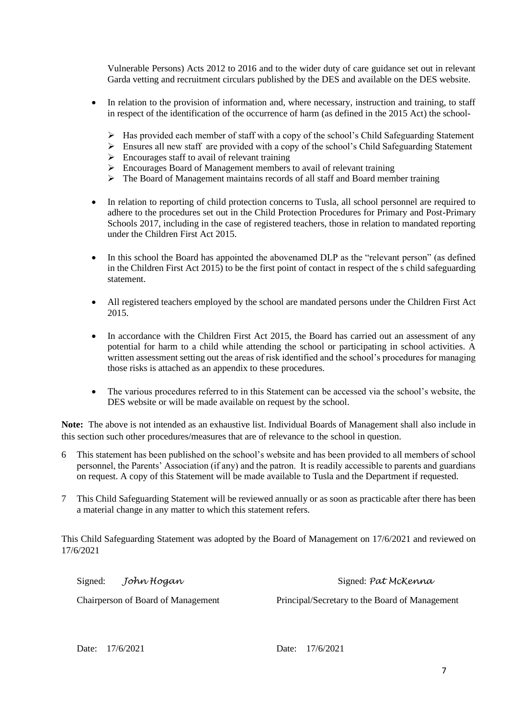Vulnerable Persons) Acts 2012 to 2016 and to the wider duty of care guidance set out in relevant Garda vetting and recruitment circulars published by the DES and available on the DES website.

- In relation to the provision of information and, where necessary, instruction and training, to staff in respect of the identification of the occurrence of harm (as defined in the 2015 Act) the school-
	- ➢ Has provided each member of staff with a copy of the school's Child Safeguarding Statement
	- $\triangleright$  Ensures all new staff are provided with a copy of the school's Child Safeguarding Statement
	- $\triangleright$  Encourages staff to avail of relevant training
	- ➢ Encourages Board of Management members to avail of relevant training
	- ➢ The Board of Management maintains records of all staff and Board member training
- In relation to reporting of child protection concerns to Tusla, all school personnel are required to adhere to the procedures set out in the Child Protection Procedures for Primary and Post-Primary Schools 2017, including in the case of registered teachers, those in relation to mandated reporting under the Children First Act 2015.
- In this school the Board has appointed the abovenamed DLP as the "relevant person" (as defined in the Children First Act 2015) to be the first point of contact in respect of the s child safeguarding statement.
- All registered teachers employed by the school are mandated persons under the Children First Act 2015.
- In accordance with the Children First Act 2015, the Board has carried out an assessment of any potential for harm to a child while attending the school or participating in school activities. A written assessment setting out the areas of risk identified and the school's procedures for managing those risks is attached as an appendix to these procedures.
- The various procedures referred to in this Statement can be accessed via the school's website, the DES website or will be made available on request by the school.

**Note:** The above is not intended as an exhaustive list. Individual Boards of Management shall also include in this section such other procedures/measures that are of relevance to the school in question.

- 6 This statement has been published on the school's website and has been provided to all members of school personnel, the Parents' Association (if any) and the patron. It is readily accessible to parents and guardians on request. A copy of this Statement will be made available to Tusla and the Department if requested.
- 7 This Child Safeguarding Statement will be reviewed annually or as soon as practicable after there has been a material change in any matter to which this statement refers.

This Child Safeguarding Statement was adopted by the Board of Management on 17/6/2021 and reviewed on 17/6/2021

| Signed:                            | John Hogan | Signed: Pat McKenna                            |
|------------------------------------|------------|------------------------------------------------|
| Chairperson of Board of Management |            | Principal/Secretary to the Board of Management |

Date: 17/6/2021 Date: 17/6/2021